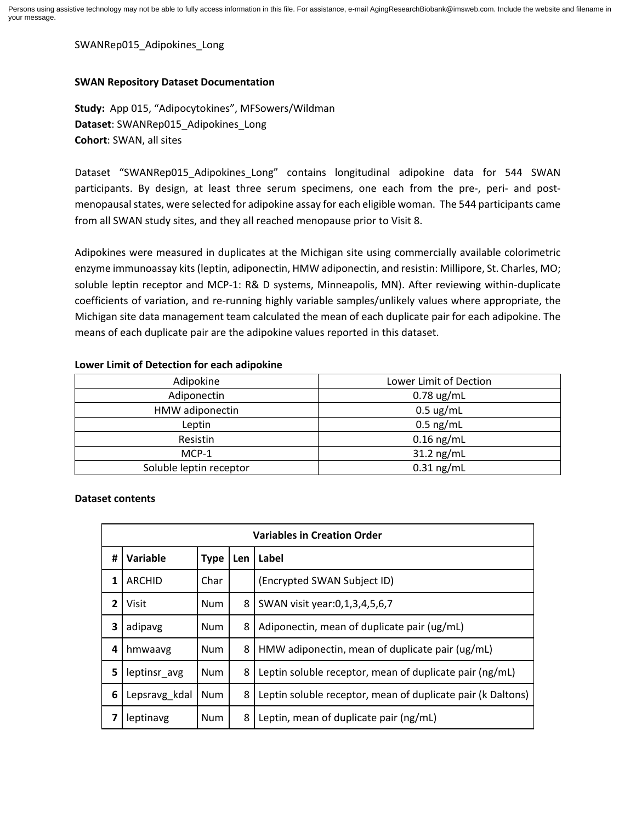SWANRep015\_Adipokines\_Long

## **SWAN Repository Dataset Documentation**

**Study:** App 015, "Adipocytokines", MFSowers/Wildman **Dataset**: SWANRep015\_Adipokines\_Long **Cohort**: SWAN, all sites

Dataset "SWANRep015 Adipokines Long" contains longitudinal adipokine data for 544 SWAN participants. By design, at least three serum specimens, one each from the pre-, peri- and postmenopausal states, were selected for adipokine assay for each eligible woman. The 544 participants came from all SWAN study sites, and they all reached menopause prior to Visit 8.

Adipokines were measured in duplicates at the Michigan site using commercially available colorimetric enzyme immunoassay kits (leptin, adiponectin, HMW adiponectin, and resistin: Millipore, St. Charles, MO; soluble leptin receptor and MCP-1: R& D systems, Minneapolis, MN). After reviewing within-duplicate coefficients of variation, and re-running highly variable samples/unlikely values where appropriate, the Michigan site data management team calculated the mean of each duplicate pair for each adipokine. The means of each duplicate pair are the adipokine values reported in this dataset.

## **Lower Limit of Detection for each adipokine**

| Adipokine               | Lower Limit of Dection |  |  |
|-------------------------|------------------------|--|--|
| Adiponectin             | $0.78$ ug/mL           |  |  |
| HMW adiponectin         | $0.5 \text{ ug/mL}$    |  |  |
| Leptin                  | $0.5$ ng/mL            |  |  |
| Resistin                | $0.16$ ng/mL           |  |  |
| MCP-1                   | $31.2$ ng/mL           |  |  |
| Soluble leptin receptor | $0.31$ ng/mL           |  |  |

## **Dataset contents**

| <b>Variables in Creation Order</b> |               |            |     |                                                             |  |
|------------------------------------|---------------|------------|-----|-------------------------------------------------------------|--|
| #                                  | Variable      | Type       | Len | Label                                                       |  |
| 1                                  | <b>ARCHID</b> | Char       |     | (Encrypted SWAN Subject ID)                                 |  |
| $\overline{2}$                     | <b>Visit</b>  | Num        | 8   | SWAN visit year: 0, 1, 3, 4, 5, 6, 7                        |  |
| 3                                  | adipavg       | Num        | 8   | Adiponectin, mean of duplicate pair (ug/mL)                 |  |
| 4                                  | hmwaavg       | Num        | 8   | HMW adiponectin, mean of duplicate pair (ug/mL)             |  |
| 5                                  | leptinsr_avg  | <b>Num</b> | 8   | Leptin soluble receptor, mean of duplicate pair (ng/mL)     |  |
| 6                                  | Lepsravg kdal | <b>Num</b> | 8   | Leptin soluble receptor, mean of duplicate pair (k Daltons) |  |
| 7                                  | leptinavg     | Num        | 8   | Leptin, mean of duplicate pair (ng/mL)                      |  |